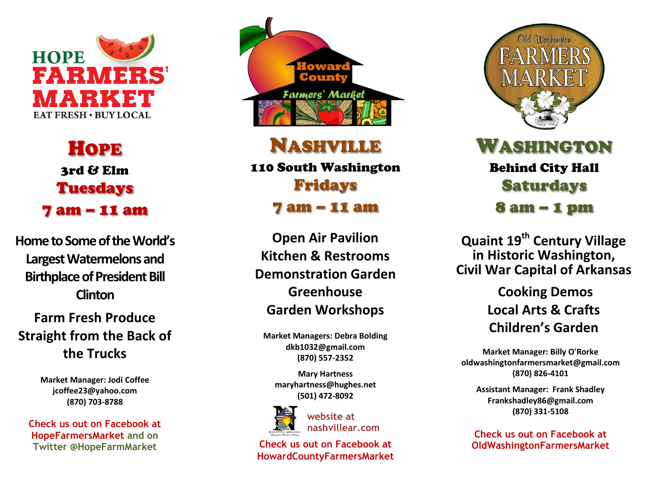

HOPE 3rd & Elm Tuesdays 7 am – 11 am

**Home to Some of the World's Largest Watermelons and Birthplace of President Bill Clinton**

**Farm Fresh Produce Straight from the Back of the Trucks**

> **Market Manager: Jodi Coffee jcoffee23@yahoo.com (870) 703 -8788**

**Check us out on Facebook at HopeFarmersMarket and on Twitter @HopeFarmMarket**



NASHVILLE

110 South Washington Fridays 7 am – 11 am

**Open Air Pavilion Kitchen & Restrooms Demonstration Garden Greenhouse Garden Workshops**

**Market Managers : Debra Bolding dkb1032@gmail.com (870) 557 -2352**

**Mary Hartness maryhartness @hughes.net (501) 472 -8092**



**website at nashvillear.com**

**Check us out on Facebook at HowardCountyFarmersMarket**



WASHINGTON Behind City Hall Saturdays 8 am – 1 pm

**Quaint 19th Century Village in Historic Washington , Civil War Capital of Arkansas**

> **Cooking Demos Local Arts & Crafts Children's Garden**

**Market Manager: Billy O'Rorke oldwashingtonfarmersmarket@gmail.com (870) 826 -4101**

**Assistant Manager: Frank Shadley Frankshadley86@gmail.com (870) 331 -5108**

**Check us out on Facebook at OldWashingtonFarmersMarket**